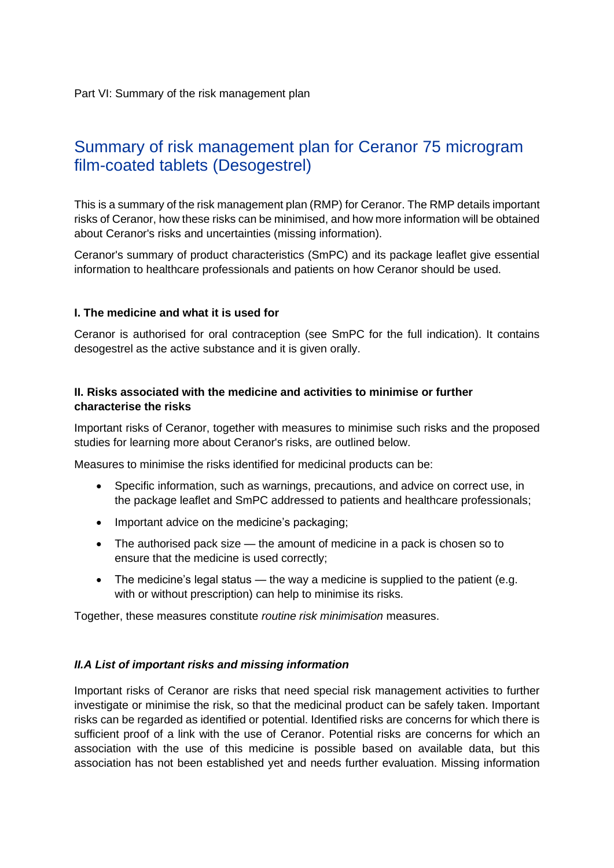# Summary of risk management plan for Ceranor 75 microgram film-coated tablets (Desogestrel)

This is a summary of the risk management plan (RMP) for Ceranor. The RMP details important risks of Ceranor, how these risks can be minimised, and how more information will be obtained about Ceranor's risks and uncertainties (missing information).

Ceranor's summary of product characteristics (SmPC) and its package leaflet give essential information to healthcare professionals and patients on how Ceranor should be used.

#### **I. The medicine and what it is used for**

Ceranor is authorised for oral contraception (see SmPC for the full indication). It contains desogestrel as the active substance and it is given orally.

# **II. Risks associated with the medicine and activities to minimise or further characterise the risks**

Important risks of Ceranor, together with measures to minimise such risks and the proposed studies for learning more about Ceranor's risks, are outlined below.

Measures to minimise the risks identified for medicinal products can be:

- Specific information, such as warnings, precautions, and advice on correct use, in the package leaflet and SmPC addressed to patients and healthcare professionals;
- Important advice on the medicine's packaging;
- The authorised pack size the amount of medicine in a pack is chosen so to ensure that the medicine is used correctly;
- The medicine's legal status  $-$  the way a medicine is supplied to the patient (e.g. with or without prescription) can help to minimise its risks.

Together, these measures constitute *routine risk minimisation* measures.

# *II.A List of important risks and missing information*

Important risks of Ceranor are risks that need special risk management activities to further investigate or minimise the risk, so that the medicinal product can be safely taken. Important risks can be regarded as identified or potential. Identified risks are concerns for which there is sufficient proof of a link with the use of Ceranor. Potential risks are concerns for which an association with the use of this medicine is possible based on available data, but this association has not been established yet and needs further evaluation. Missing information